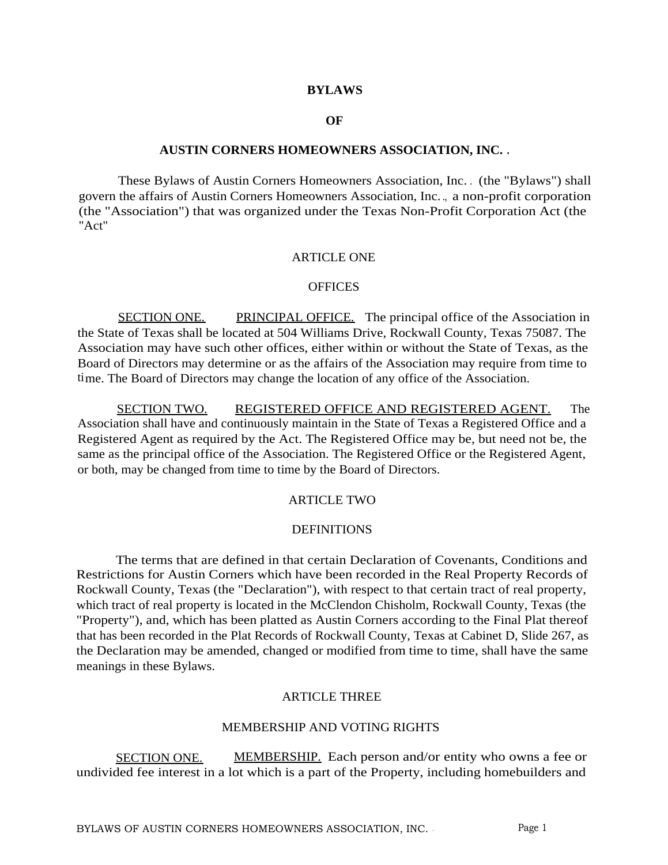#### **BYLAWS**

#### **OF**

#### **AUSTIN CORNERS HOMEOWNERS ASSOCIATION, INC. .**

These Bylaws of Austin Corners Homeowners Association, Inc. . (the "Bylaws") shall govern the affairs of Austin Corners Homeowners Association, Inc. ., a non-profit corporation (the "Association") that was organized under the Texas Non-Profit Corporation Act (the "Act"

#### ARTICLE ONE

#### **OFFICES**

SECTION ONE. PRINCIPAL OFFICE. The principal office of the Association in the State of Texas shall be located at 504 Williams Drive, Rockwall County, Texas 75087. The Association may have such other offices, either within or without the State of Texas, as the Board of Directors may determine or as the affairs of the Association may require from time to time. The Board of Directors may change the location of any office of the Association.

SECTION TWO. REGISTERED OFFICE AND REGISTERED AGENT. The Association shall have and continuously maintain in the State of Texas a Registered Office and a Registered Agent as required by the Act. The Registered Office may be, but need not be, the same as the principal office of the Association. The Registered Office or the Registered Agent, or both, may be changed from time to time by the Board of Directors.

### ARTICLE TWO

#### **DEFINITIONS**

The terms that are defined in that certain Declaration of Covenants, Conditions and Restrictions for Austin Corners which have been recorded in the Real Property Records of Rockwall County, Texas (the "Declaration"), with respect to that certain tract of real property, which tract of real property is located in the McClendon Chisholm, Rockwall County, Texas (the "Property"), and, which has been platted as Austin Corners according to the Final Plat thereof that has been recorded in the Plat Records of Rockwall County, Texas at Cabinet D, Slide 267, as the Declaration may be amended, changed or modified from time to time, shall have the same meanings in these Bylaws.

### ARTICLE THREE

#### MEMBERSHIP AND VOTING RIGHTS

SECTION ONE. MEMBERSHIP. Each person and/or entity who owns a fee or undivided fee interest in a lot which is a part of the Property, including homebuilders and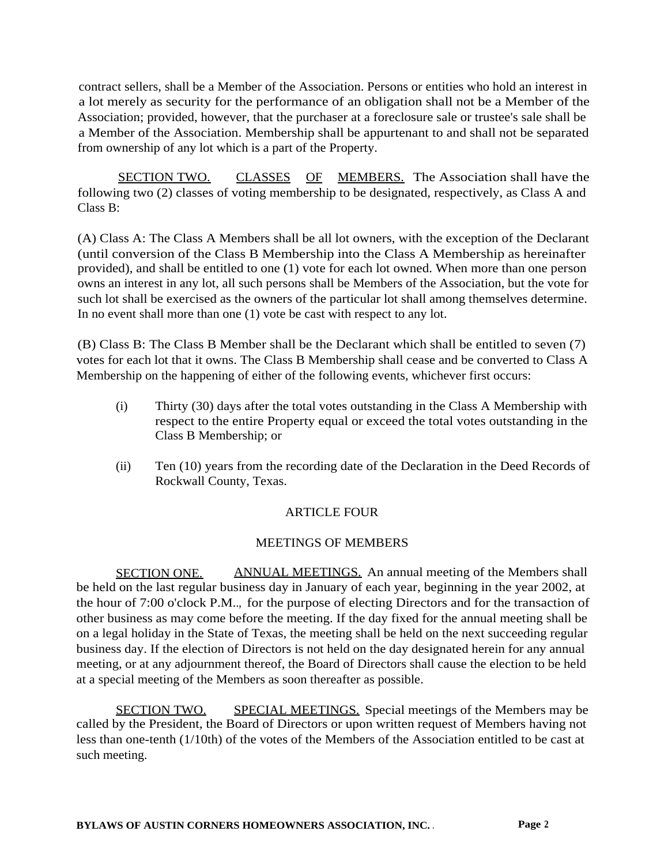contract sellers, shall be a Member of the Association. Persons or entities who hold an interest in a lot merely as security for the performance of an obligation shall not be a Member of the Association; provided, however, that the purchaser at a foreclosure sale or trustee's sale shall be a Member of the Association. Membership shall be appurtenant to and shall not be separated from ownership of any lot which is a part of the Property.

SECTION TWO. CLASSES OF MEMBERS. The Association shall have the following two (2) classes of voting membership to be designated, respectively, as Class A and Class B:

(A) Class A: The Class A Members shall be all lot owners, with the exception of the Declarant (until conversion of the Class B Membership into the Class A Membership as hereinafter provided), and shall be entitled to one (1) vote for each lot owned. When more than one person owns an interest in any lot, all such persons shall be Members of the Association, but the vote for such lot shall be exercised as the owners of the particular lot shall among themselves determine. In no event shall more than one (1) vote be cast with respect to any lot.

(B) Class B: The Class B Member shall be the Declarant which shall be entitled to seven (7) votes for each lot that it owns. The Class B Membership shall cease and be converted to Class A Membership on the happening of either of the following events, whichever first occurs:

- (i) Thirty (30) days after the total votes outstanding in the Class A Membership with respect to the entire Property equal or exceed the total votes outstanding in the Class B Membership; or
- (ii) Ten (10) years from the recording date of the Declaration in the Deed Records of Rockwall County, Texas.

# ARTICLE FOUR

# MEETINGS OF MEMBERS

SECTION ONE. ANNUAL MEETINGS. An annual meeting of the Members shall be held on the last regular business day in January of each year, beginning in the year 2002, at the hour of 7:00 o'clock P.M.., for the purpose of electing Directors and for the transaction of other business as may come before the meeting. If the day fixed for the annual meeting shall be on a legal holiday in the State of Texas, the meeting shall be held on the next succeeding regular business day. If the election of Directors is not held on the day designated herein for any annual meeting, or at any adjournment thereof, the Board of Directors shall cause the election to be held at a special meeting of the Members as soon thereafter as possible.

SECTION TWO. SPECIAL MEETINGS. Special meetings of the Members may be called by the President, the Board of Directors or upon written request of Members having not less than one-tenth (1/10th) of the votes of the Members of the Association entitled to be cast at such meeting.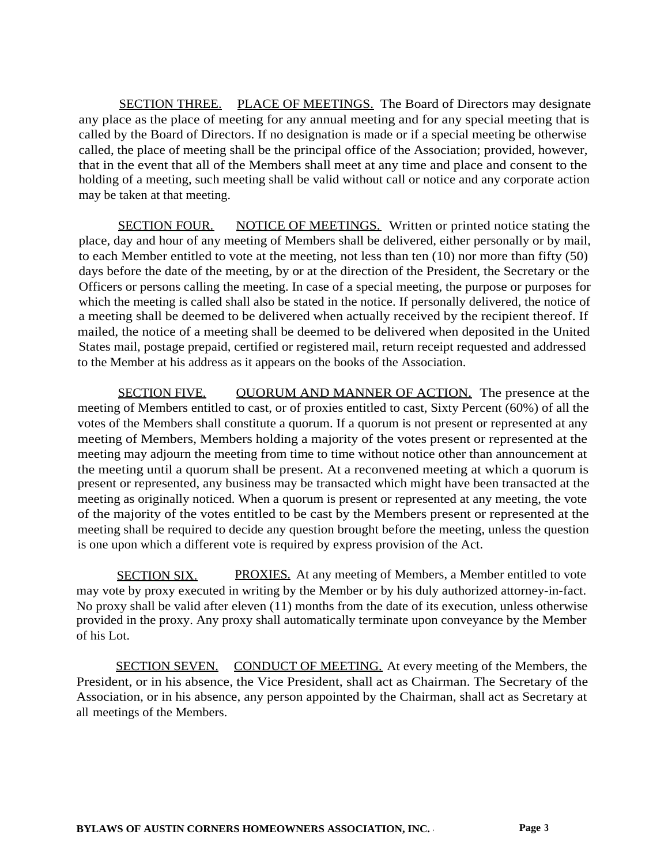SECTION THREE. PLACE OF MEETINGS. The Board of Directors may designate any place as the place of meeting for any annual meeting and for any special meeting that is called by the Board of Directors. If no designation is made or if a special meeting be otherwise called, the place of meeting shall be the principal office of the Association; provided, however, that in the event that all of the Members shall meet at any time and place and consent to the holding of a meeting, such meeting shall be valid without call or notice and any corporate action may be taken at that meeting.

SECTION FOUR. NOTICE OF MEETINGS. Written or printed notice stating the place, day and hour of any meeting of Members shall be delivered, either personally or by mail, to each Member entitled to vote at the meeting, not less than ten (10) nor more than fifty (50) days before the date of the meeting, by or at the direction of the President, the Secretary or the Officers or persons calling the meeting. In case of a special meeting, the purpose or purposes for which the meeting is called shall also be stated in the notice. If personally delivered, the notice of a meeting shall be deemed to be delivered when actually received by the recipient thereof. If mailed, the notice of a meeting shall be deemed to be delivered when deposited in the United States mail, postage prepaid, certified or registered mail, return receipt requested and addressed to the Member at his address as it appears on the books of the Association.

SECTION FIVE. QUORUM AND MANNER OF ACTION. The presence at the meeting of Members entitled to cast, or of proxies entitled to cast, Sixty Percent (60%) of all the votes of the Members shall constitute a quorum. If a quorum is not present or represented at any meeting of Members, Members holding a majority of the votes present or represented at the meeting may adjourn the meeting from time to time without notice other than announcement at the meeting until a quorum shall be present. At a reconvened meeting at which a quorum is present or represented, any business may be transacted which might have been transacted at the meeting as originally noticed. When a quorum is present or represented at any meeting, the vote of the majority of the votes entitled to be cast by the Members present or represented at the meeting shall be required to decide any question brought before the meeting, unless the question is one upon which a different vote is required by express provision of the Act.

SECTION SIX. PROXIES. At any meeting of Members, a Member entitled to vote may vote by proxy executed in writing by the Member or by his duly authorized attorney-in-fact. No proxy shall be valid after eleven (11) months from the date of its execution, unless otherwise provided in the proxy. Any proxy shall automatically terminate upon conveyance by the Member of his Lot.

SECTION SEVEN. CONDUCT OF MEETING. At every meeting of the Members, the President, or in his absence, the Vice President, shall act as Chairman. The Secretary of the Association, or in his absence, any person appointed by the Chairman, shall act as Secretary at all meetings of the Members.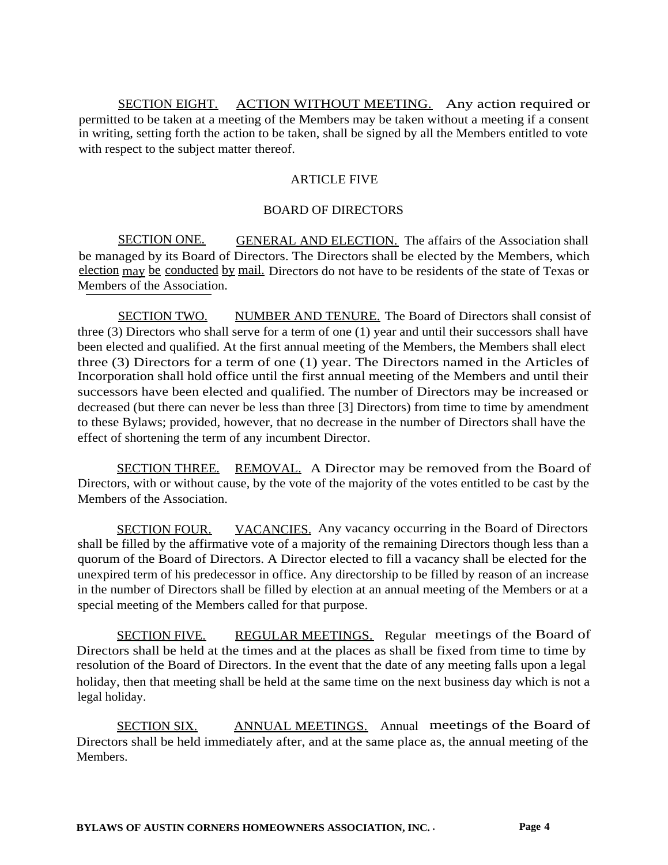SECTION EIGHT. ACTION WITHOUT MEETING. Any action required or permitted to be taken at a meeting of the Members may be taken without a meeting if a consent in writing, setting forth the action to be taken, shall be signed by all the Members entitled to vote with respect to the subject matter thereof.

## ARTICLE FIVE

## BOARD OF DIRECTORS

SECTION ONE. GENERAL AND ELECTION. The affairs of the Association shall be managed by its Board of Directors. The Directors shall be elected by the Members, which election may be conducted by mail. Directors do not have to be residents of the state of Texas or Members of the Association.

SECTION TWO. NUMBER AND TENURE. The Board of Directors shall consist of three (3) Directors who shall serve for a term of one (1) year and until their successors shall have been elected and qualified. At the first annual meeting of the Members, the Members shall elect three (3) Directors for a term of one (1) year. The Directors named in the Articles of Incorporation shall hold office until the first annual meeting of the Members and until their successors have been elected and qualified. The number of Directors may be increased or decreased (but there can never be less than three [3] Directors) from time to time by amendment to these Bylaws; provided, however, that no decrease in the number of Directors shall have the effect of shortening the term of any incumbent Director.

SECTION THREE. REMOVAL. A Director may be removed from the Board of Directors, with or without cause, by the vote of the majority of the votes entitled to be cast by the Members of the Association.

SECTION FOUR. VACANCIES. Any vacancy occurring in the Board of Directors shall be filled by the affirmative vote of a majority of the remaining Directors though less than a quorum of the Board of Directors. A Director elected to fill a vacancy shall be elected for the unexpired term of his predecessor in office. Any directorship to be filled by reason of an increase in the number of Directors shall be filled by election at an annual meeting of the Members or at a special meeting of the Members called for that purpose.

SECTION FIVE. REGULAR MEETINGS. Regular meetings of the Board of Directors shall be held at the times and at the places as shall be fixed from time to time by resolution of the Board of Directors. In the event that the date of any meeting falls upon a legal holiday, then that meeting shall be held at the same time on the next business day which is not a legal holiday.

SECTION SIX. ANNUAL MEETINGS. Annual meetings of the Board of Directors shall be held immediately after, and at the same place as, the annual meeting of the **Members**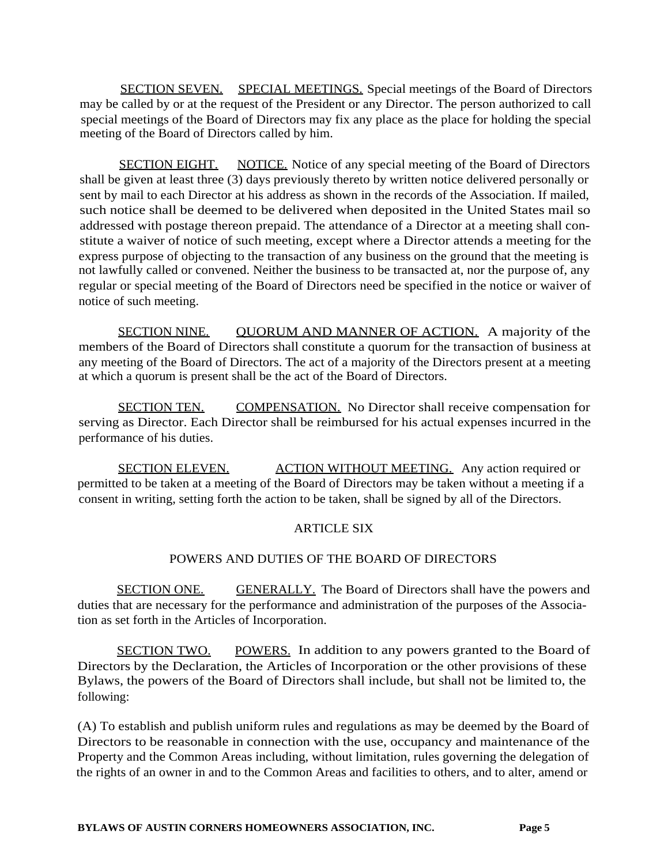SECTION SEVEN. SPECIAL MEETINGS. Special meetings of the Board of Directors may be called by or at the request of the President or any Director. The person authorized to call special meetings of the Board of Directors may fix any place as the place for holding the special meeting of the Board of Directors called by him.

SECTION EIGHT. NOTICE. Notice of any special meeting of the Board of Directors shall be given at least three (3) days previously thereto by written notice delivered personally or sent by mail to each Director at his address as shown in the records of the Association. If mailed, such notice shall be deemed to be delivered when deposited in the United States mail so addressed with postage thereon prepaid. The attendance of a Director at a meeting shall constitute a waiver of notice of such meeting, except where a Director attends a meeting for the express purpose of objecting to the transaction of any business on the ground that the meeting is not lawfully called or convened. Neither the business to be transacted at, nor the purpose of, any regular or special meeting of the Board of Directors need be specified in the notice or waiver of notice of such meeting.

SECTION NINE. QUORUM AND MANNER OF ACTION. A majority of the members of the Board of Directors shall constitute a quorum for the transaction of business at any meeting of the Board of Directors. The act of a majority of the Directors present at a meeting at which a quorum is present shall be the act of the Board of Directors.

SECTION TEN. COMPENSATION. No Director shall receive compensation for serving as Director. Each Director shall be reimbursed for his actual expenses incurred in the performance of his duties.

SECTION ELEVEN. ACTION WITHOUT MEETING. Any action required or permitted to be taken at a meeting of the Board of Directors may be taken without a meeting if a consent in writing, setting forth the action to be taken, shall be signed by all of the Directors.

## ARTICLE SIX

## POWERS AND DUTIES OF THE BOARD OF DIRECTORS

SECTION ONE. GENERALLY. The Board of Directors shall have the powers and duties that are necessary for the performance and administration of the purposes of the Association as set forth in the Articles of Incorporation.

SECTION TWO. POWERS. In addition to any powers granted to the Board of Directors by the Declaration, the Articles of Incorporation or the other provisions of these Bylaws, the powers of the Board of Directors shall include, but shall not be limited to, the following:

(A) To establish and publish uniform rules and regulations as may be deemed by the Board of Directors to be reasonable in connection with the use, occupancy and maintenance of the Property and the Common Areas including, without limitation, rules governing the delegation of the rights of an owner in and to the Common Areas and facilities to others, and to alter, amend or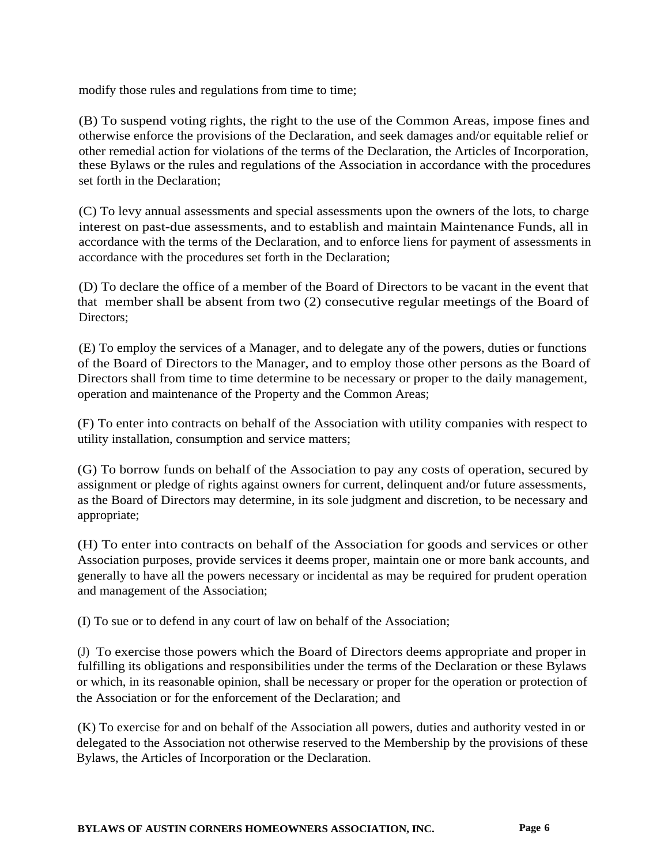modify those rules and regulations from time to time;

(B) To suspend voting rights, the right to the use of the Common Areas, impose fines and otherwise enforce the provisions of the Declaration, and seek damages and/or equitable relief or other remedial action for violations of the terms of the Declaration, the Articles of Incorporation, these Bylaws or the rules and regulations of the Association in accordance with the procedures set forth in the Declaration;

(C) To levy annual assessments and special assessments upon the owners of the lots, to charge interest on past-due assessments, and to establish and maintain Maintenance Funds, all in accordance with the terms of the Declaration, and to enforce liens for payment of assessments in accordance with the procedures set forth in the Declaration;

(D) To declare the office of a member of the Board of Directors to be vacant in the event that that member shall be absent from two (2) consecutive regular meetings of the Board of Directors:

(E) To employ the services of a Manager, and to delegate any of the powers, duties or functions of the Board of Directors to the Manager, and to employ those other persons as the Board of Directors shall from time to time determine to be necessary or proper to the daily management, operation and maintenance of the Property and the Common Areas;

(F) To enter into contracts on behalf of the Association with utility companies with respect to utility installation, consumption and service matters;

(G) To borrow funds on behalf of the Association to pay any costs of operation, secured by assignment or pledge of rights against owners for current, delinquent and/or future assessments, as the Board of Directors may determine, in its sole judgment and discretion, to be necessary and appropriate;

(H) To enter into contracts on behalf of the Association for goods and services or other Association purposes, provide services it deems proper, maintain one or more bank accounts, and generally to have all the powers necessary or incidental as may be required for prudent operation and management of the Association;

(I) To sue or to defend in any court of law on behalf of the Association;

(J) To exercise those powers which the Board of Directors deems appropriate and proper in fulfilling its obligations and responsibilities under the terms of the Declaration or these Bylaws or which, in its reasonable opinion, shall be necessary or proper for the operation or protection of the Association or for the enforcement of the Declaration; and

(K) To exercise for and on behalf of the Association all powers, duties and authority vested in or delegated to the Association not otherwise reserved to the Membership by the provisions of these Bylaws, the Articles of Incorporation or the Declaration.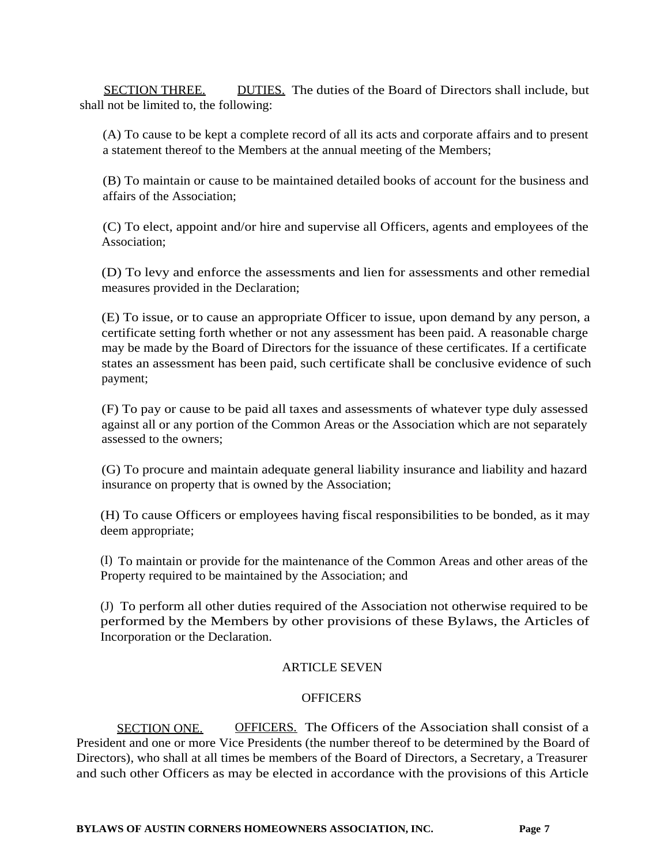SECTION THREE. DUTIES. The duties of the Board of Directors shall include, but shall not be limited to, the following:

(A) To cause to be kept a complete record of all its acts and corporate affairs and to present a statement thereof to the Members at the annual meeting of the Members;

(B) To maintain or cause to be maintained detailed books of account for the business and affairs of the Association;

(C) To elect, appoint and/or hire and supervise all Officers, agents and employees of the Association;

(D) To levy and enforce the assessments and lien for assessments and other remedial measures provided in the Declaration;

(E) To issue, or to cause an appropriate Officer to issue, upon demand by any person, a certificate setting forth whether or not any assessment has been paid. A reasonable charge may be made by the Board of Directors for the issuance of these certificates. If a certificate states an assessment has been paid, such certificate shall be conclusive evidence of such payment;

(F) To pay or cause to be paid all taxes and assessments of whatever type duly assessed against all or any portion of the Common Areas or the Association which are not separately assessed to the owners;

(G) To procure and maintain adequate general liability insurance and liability and hazard insurance on property that is owned by the Association;

(H) To cause Officers or employees having fiscal responsibilities to be bonded, as it may deem appropriate;

(I) To maintain or provide for the maintenance of the Common Areas and other areas of the Property required to be maintained by the Association; and

(J) To perform all other duties required of the Association not otherwise required to be performed by the Members by other provisions of these Bylaws, the Articles of Incorporation or the Declaration.

## ARTICLE SEVEN

## **OFFICERS**

SECTION ONE. OFFICERS. The Officers of the Association shall consist of a President and one or more Vice Presidents (the number thereof to be determined by the Board of Directors), who shall at all times be members of the Board of Directors, a Secretary, a Treasurer and such other Officers as may be elected in accordance with the provisions of this Article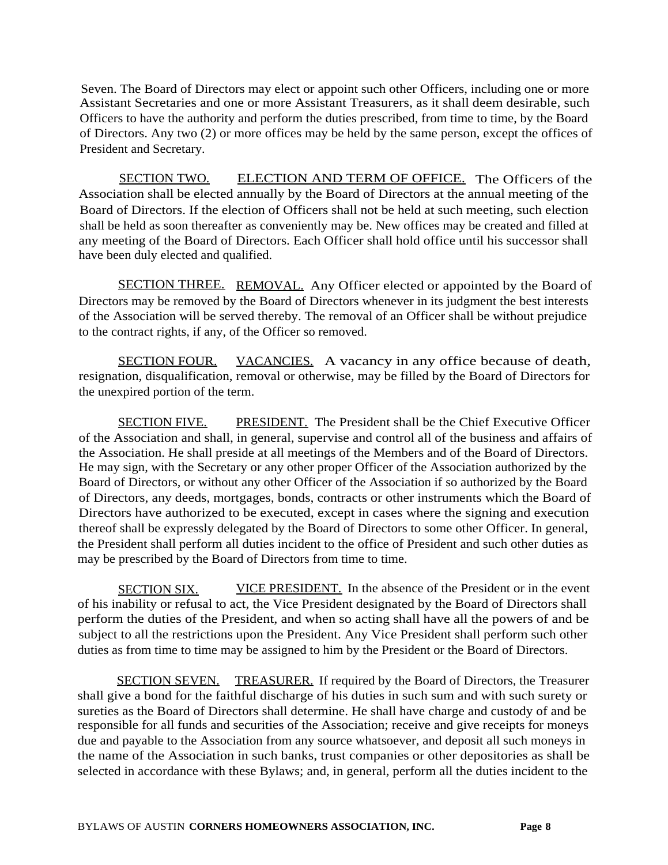Seven. The Board of Directors may elect or appoint such other Officers, including one or more Assistant Secretaries and one or more Assistant Treasurers, as it shall deem desirable, such Officers to have the authority and perform the duties prescribed, from time to time, by the Board of Directors. Any two (2) or more offices may be held by the same person, except the offices of President and Secretary.

SECTION TWO. ELECTION AND TERM OF OFFICE. The Officers of the Association shall be elected annually by the Board of Directors at the annual meeting of the Board of Directors. If the election of Officers shall not be held at such meeting, such election shall be held as soon thereafter as conveniently may be. New offices may be created and filled at any meeting of the Board of Directors. Each Officer shall hold office until his successor shall have been duly elected and qualified.

SECTION THREE. REMOVAL. Any Officer elected or appointed by the Board of Directors may be removed by the Board of Directors whenever in its judgment the best interests of the Association will be served thereby. The removal of an Officer shall be without prejudice to the contract rights, if any, of the Officer so removed.

SECTION FOUR. VACANCIES. A vacancy in any office because of death, resignation, disqualification, removal or otherwise, may be filled by the Board of Directors for the unexpired portion of the term.

SECTION FIVE. PRESIDENT. The President shall be the Chief Executive Officer of the Association and shall, in general, supervise and control all of the business and affairs of the Association. He shall preside at all meetings of the Members and of the Board of Directors. He may sign, with the Secretary or any other proper Officer of the Association authorized by the Board of Directors, or without any other Officer of the Association if so authorized by the Board of Directors, any deeds, mortgages, bonds, contracts or other instruments which the Board of Directors have authorized to be executed, except in cases where the signing and execution thereof shall be expressly delegated by the Board of Directors to some other Officer. In general, the President shall perform all duties incident to the office of President and such other duties as may be prescribed by the Board of Directors from time to time.

SECTION SIX. VICE PRESIDENT. In the absence of the President or in the event of his inability or refusal to act, the Vice President designated by the Board of Directors shall perform the duties of the President, and when so acting shall have all the powers of and be subject to all the restrictions upon the President. Any Vice President shall perform such other duties as from time to time may be assigned to him by the President or the Board of Directors.

SECTION SEVEN. TREASURER. If required by the Board of Directors, the Treasurer shall give a bond for the faithful discharge of his duties in such sum and with such surety or sureties as the Board of Directors shall determine. He shall have charge and custody of and be responsible for all funds and securities of the Association; receive and give receipts for moneys due and payable to the Association from any source whatsoever, and deposit all such moneys in the name of the Association in such banks, trust companies or other depositories as shall be selected in accordance with these Bylaws; and, in general, perform all the duties incident to the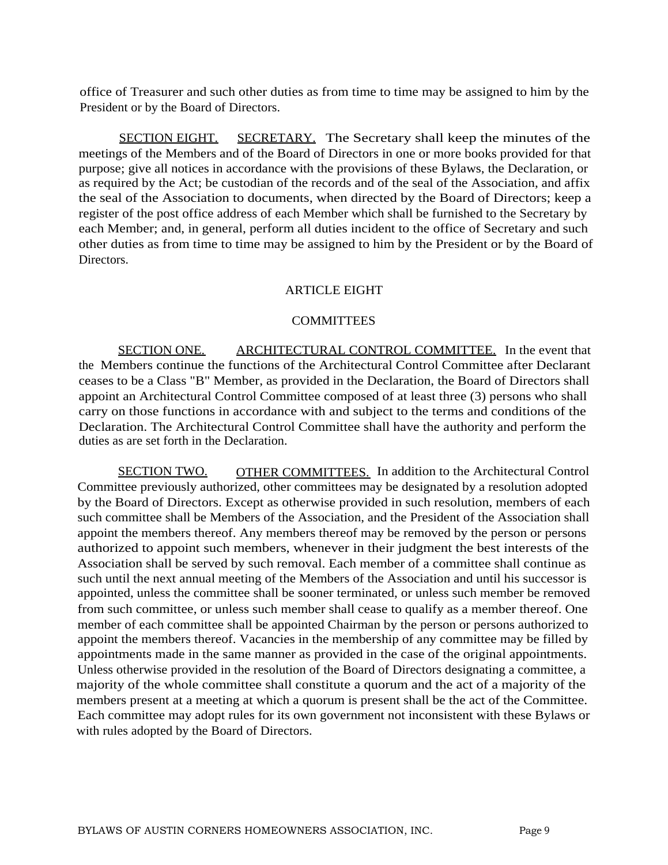office of Treasurer and such other duties as from time to time may be assigned to him by the President or by the Board of Directors.

SECTION EIGHT. SECRETARY. The Secretary shall keep the minutes of the meetings of the Members and of the Board of Directors in one or more books provided for that purpose; give all notices in accordance with the provisions of these Bylaws, the Declaration, or as required by the Act; be custodian of the records and of the seal of the Association, and affix the seal of the Association to documents, when directed by the Board of Directors; keep a register of the post office address of each Member which shall be furnished to the Secretary by each Member; and, in general, perform all duties incident to the office of Secretary and such other duties as from time to time may be assigned to him by the President or by the Board of Directors.

## ARTICLE EIGHT

### **COMMITTEES**

SECTION ONE. ARCHITECTURAL CONTROL COMMITTEE. In the event that the Members continue the functions of the Architectural Control Committee after Declarant ceases to be a Class "B" Member, as provided in the Declaration, the Board of Directors shall appoint an Architectural Control Committee composed of at least three (3) persons who shall carry on those functions in accordance with and subject to the terms and conditions of the Declaration. The Architectural Control Committee shall have the authority and perform the duties as are set forth in the Declaration.

SECTION TWO. OTHER COMMITTEES. In addition to the Architectural Control Committee previously authorized, other committees may be designated by a resolution adopted by the Board of Directors. Except as otherwise provided in such resolution, members of each such committee shall be Members of the Association, and the President of the Association shall appoint the members thereof. Any members thereof may be removed by the person or persons authorized to appoint such members, whenever in their judgment the best interests of the Association shall be served by such removal. Each member of a committee shall continue as such until the next annual meeting of the Members of the Association and until his successor is appointed, unless the committee shall be sooner terminated, or unless such member be removed from such committee, or unless such member shall cease to qualify as a member thereof. One member of each committee shall be appointed Chairman by the person or persons authorized to appoint the members thereof. Vacancies in the membership of any committee may be filled by appointments made in the same manner as provided in the case of the original appointments. Unless otherwise provided in the resolution of the Board of Directors designating a committee, a majority of the whole committee shall constitute a quorum and the act of a majority of the members present at a meeting at which a quorum is present shall be the act of the Committee. Each committee may adopt rules for its own government not inconsistent with these Bylaws or with rules adopted by the Board of Directors.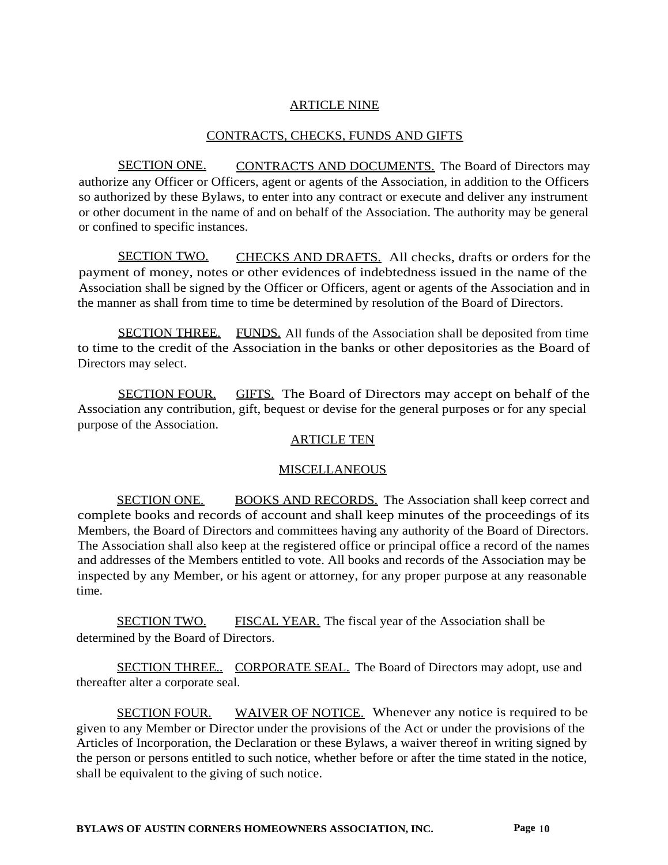## ARTICLE NINE

### CONTRACTS, CHECKS, FUNDS AND GIFTS

SECTION ONE. CONTRACTS AND DOCUMENTS. The Board of Directors may authorize any Officer or Officers, agent or agents of the Association, in addition to the Officers so authorized by these Bylaws, to enter into any contract or execute and deliver any instrument or other document in the name of and on behalf of the Association. The authority may be general or confined to specific instances.

SECTION TWO. CHECKS AND DRAFTS. All checks, drafts or orders for the payment of money, notes or other evidences of indebtedness issued in the name of the Association shall be signed by the Officer or Officers, agent or agents of the Association and in the manner as shall from time to time be determined by resolution of the Board of Directors.

SECTION THREE. FUNDS. All funds of the Association shall be deposited from time to time to the credit of the Association in the banks or other depositories as the Board of Directors may select.

SECTION FOUR. GIFTS. The Board of Directors may accept on behalf of the Association any contribution, gift, bequest or devise for the general purposes or for any special purpose of the Association.

### ARTICLE TEN

### MISCELLANEOUS

SECTION ONE. BOOKS AND RECORDS. The Association shall keep correct and complete books and records of account and shall keep minutes of the proceedings of its Members, the Board of Directors and committees having any authority of the Board of Directors. The Association shall also keep at the registered office or principal office a record of the names and addresses of the Members entitled to vote. All books and records of the Association may be inspected by any Member, or his agent or attorney, for any proper purpose at any reasonable time.

SECTION TWO. FISCAL YEAR. The fiscal year of the Association shall be determined by the Board of Directors.

SECTION THREE.. CORPORATE SEAL. The Board of Directors may adopt, use and thereafter alter a corporate seal.

SECTION FOUR. WAIVER OF NOTICE. Whenever any notice is required to be given to any Member or Director under the provisions of the Act or under the provisions of the Articles of Incorporation, the Declaration or these Bylaws, a waiver thereof in writing signed by the person or persons entitled to such notice, whether before or after the time stated in the notice, shall be equivalent to the giving of such notice.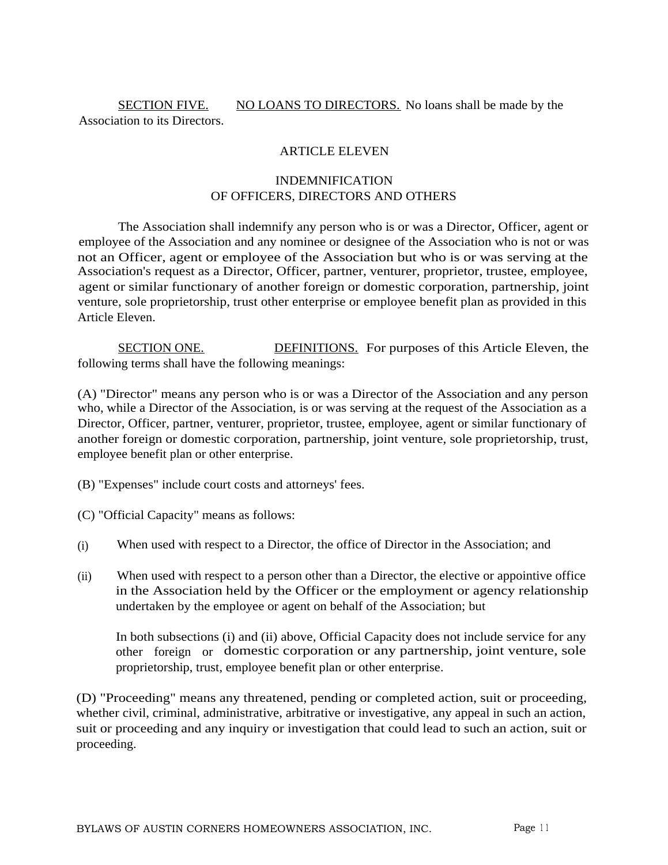SECTION FIVE. NO LOANS TO DIRECTORS. No loans shall be made by the Association to its Directors.

## ARTICLE ELEVEN

# INDEMNIFICATION OF OFFICERS, DIRECTORS AND OTHERS

The Association shall indemnify any person who is or was a Director, Officer, agent or employee of the Association and any nominee or designee of the Association who is not or was not an Officer, agent or employee of the Association but who is or was serving at the Association's request as a Director, Officer, partner, venturer, proprietor, trustee, employee, agent or similar functionary of another foreign or domestic corporation, partnership, joint venture, sole proprietorship, trust other enterprise or employee benefit plan as provided in this Article Eleven.

SECTION ONE. DEFINITIONS. For purposes of this Article Eleven, the following terms shall have the following meanings:

(A) "Director" means any person who is or was a Director of the Association and any person who, while a Director of the Association, is or was serving at the request of the Association as a Director, Officer, partner, venturer, proprietor, trustee, employee, agent or similar functionary of another foreign or domestic corporation, partnership, joint venture, sole proprietorship, trust, employee benefit plan or other enterprise.

(B) "Expenses" include court costs and attorneys' fees.

(C) "Official Capacity" means as follows:

- When used with respect to a Director, the office of Director in the Association; and (i)
- When used with respect to a person other than a Director, the elective or appointive office in the Association held by the Officer or the employment or agency relationship undertaken by the employee or agent on behalf of the Association; but (ii)

In both subsections (i) and (ii) above, Official Capacity does not include service for any other foreign or domestic corporation or any partnership, joint venture, sole proprietorship, trust, employee benefit plan or other enterprise.

(D) "Proceeding" means any threatened, pending or completed action, suit or proceeding, whether civil, criminal, administrative, arbitrative or investigative, any appeal in such an action, suit or proceeding and any inquiry or investigation that could lead to such an action, suit or proceeding.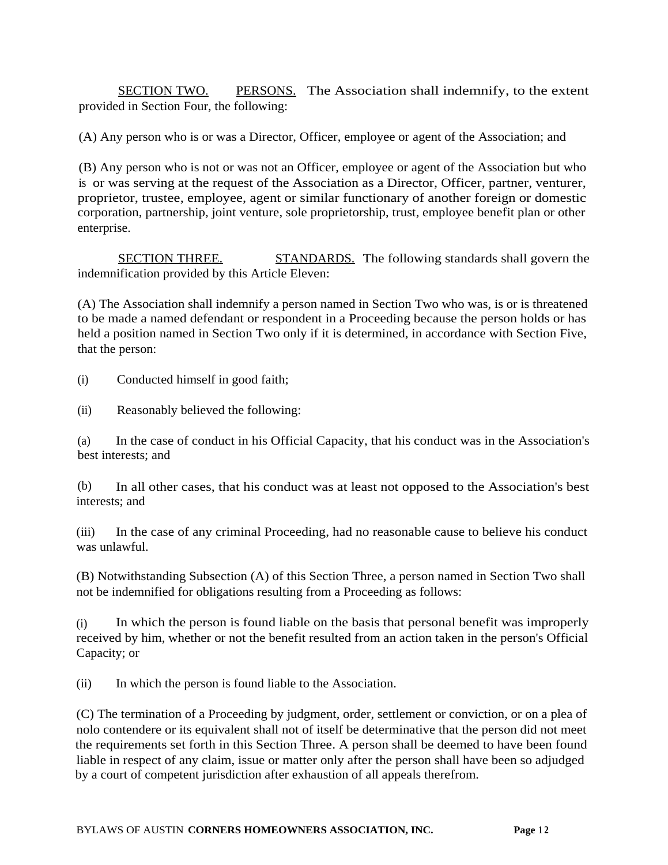SECTION TWO. PERSONS. The Association shall indemnify, to the extent provided in Section Four, the following:

(A) Any person who is or was a Director, Officer, employee or agent of the Association; and

(B) Any person who is not or was not an Officer, employee or agent of the Association but who is or was serving at the request of the Association as a Director, Officer, partner, venturer, proprietor, trustee, employee, agent or similar functionary of another foreign or domestic corporation, partnership, joint venture, sole proprietorship, trust, employee benefit plan or other enterprise.

SECTION THREE. STANDARDS. The following standards shall govern the indemnification provided by this Article Eleven:

(A) The Association shall indemnify a person named in Section Two who was, is or is threatened to be made a named defendant or respondent in a Proceeding because the person holds or has held a position named in Section Two only if it is determined, in accordance with Section Five, that the person:

(i) Conducted himself in good faith;

(ii) Reasonably believed the following:

(a) In the case of conduct in his Official Capacity, that his conduct was in the Association's best interests; and

(b) In all other cases, that his conduct was at least not opposed to the Association's best interests; and

(iii) In the case of any criminal Proceeding, had no reasonable cause to believe his conduct was unlawful.

(B) Notwithstanding Subsection (A) of this Section Three, a person named in Section Two shall not be indemnified for obligations resulting from a Proceeding as follows:

(i) In which the person is found liable on the basis that personal benefit was improperly received by him, whether or not the benefit resulted from an action taken in the person's Official Capacity; or

(ii) In which the person is found liable to the Association.

(C) The termination of a Proceeding by judgment, order, settlement or conviction, or on a plea of nolo contendere or its equivalent shall not of itself be determinative that the person did not meet the requirements set forth in this Section Three. A person shall be deemed to have been found liable in respect of any claim, issue or matter only after the person shall have been so adjudged by a court of competent jurisdiction after exhaustion of all appeals therefrom.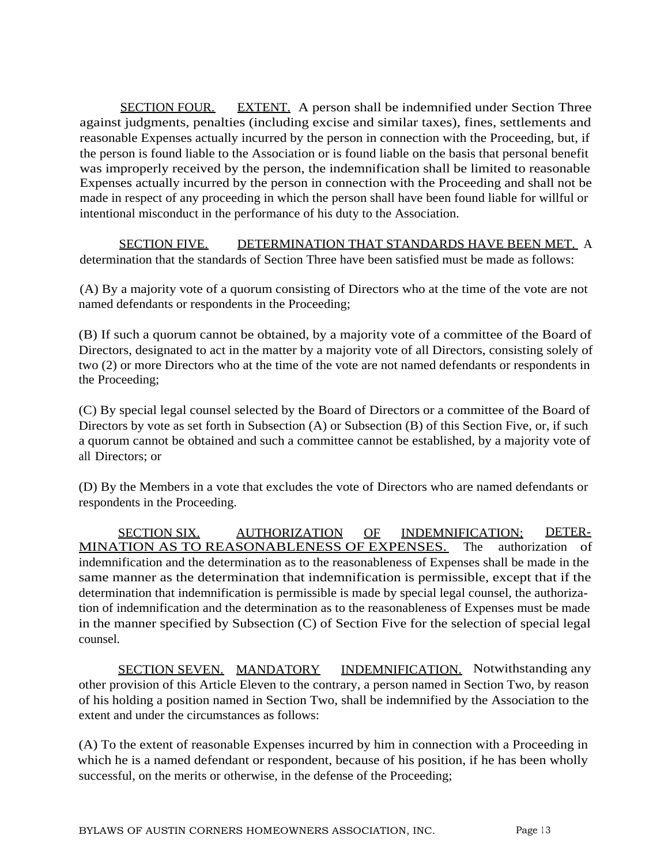SECTION FOUR. EXTENT. A person shall be indemnified under Section Three against judgments, penalties (including excise and similar taxes), fines, settlements and reasonable Expenses actually incurred by the person in connection with the Proceeding, but, if the person is found liable to the Association or is found liable on the basis that personal benefit was improperly received by the person, the indemnification shall be limited to reasonable Expenses actually incurred by the person in connection with the Proceeding and shall not be made in respect of any proceeding in which the person shall have been found liable for willful or intentional misconduct in the performance of his duty to the Association.

SECTION FIVE. DETERMINATION THAT STANDARDS HAVE BEEN MET. A determination that the standards of Section Three have been satisfied must be made as follows:

(A) By a majority vote of a quorum consisting of Directors who at the time of the vote are not named defendants or respondents in the Proceeding;

(B) If such a quorum cannot be obtained, by a majority vote of a committee of the Board of Directors, designated to act in the matter by a majority vote of all Directors, consisting solely of two (2) or more Directors who at the time of the vote are not named defendants or respondents in the Proceeding;

(C) By special legal counsel selected by the Board of Directors or a committee of the Board of Directors by vote as set forth in Subsection (A) or Subsection (B) of this Section Five, or, if such a quorum cannot be obtained and such a committee cannot be established, by a majority vote of all Directors; or

(D) By the Members in a vote that excludes the vote of Directors who are named defendants or respondents in the Proceeding.

SECTION SIX. AUTHORIZATION OF INDEMNIFICATION; DETER-MINATION AS TO REASONABLENESS OF EXPENSES. The authorization of indemnification and the determination as to the reasonableness of Expenses shall be made in the same manner as the determination that indemnification is permissible, except that if the determination that indemnification is permissible is made by special legal counsel, the authorization of indemnification and the determination as to the reasonableness of Expenses must be made in the manner specified by Subsection (C) of Section Five for the selection of special legal counsel.

SECTION SEVEN. MANDATORY INDEMNIFICATION. Notwithstanding any other provision of this Article Eleven to the contrary, a person named in Section Two, by reason of his holding a position named in Section Two, shall be indemnified by the Association to the extent and under the circumstances as follows:

(A) To the extent of reasonable Expenses incurred by him in connection with a Proceeding in which he is a named defendant or respondent, because of his position, if he has been wholly successful, on the merits or otherwise, in the defense of the Proceeding;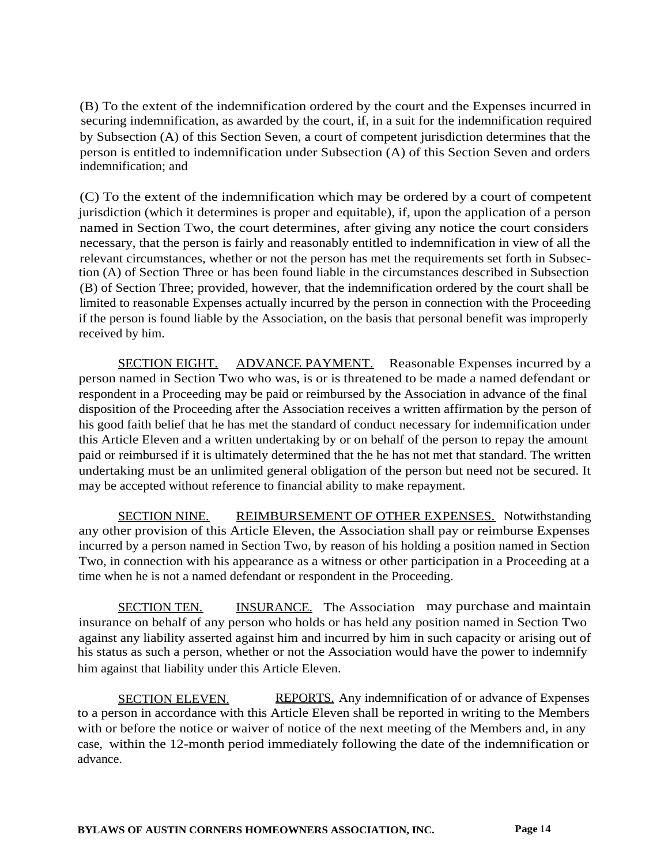(B) To the extent of the indemnification ordered by the court and the Expenses incurred in securing indemnification, as awarded by the court, if, in a suit for the indemnification required by Subsection (A) of this Section Seven, a court of competent jurisdiction determines that the person is entitled to indemnification under Subsection (A) of this Section Seven and orders indemnification; and

(C) To the extent of the indemnification which may be ordered by a court of competent jurisdiction (which it determines is proper and equitable), if, upon the application of a person named in Section Two, the court determines, after giving any notice the court considers necessary, that the person is fairly and reasonably entitled to indemnification in view of all the relevant circumstances, whether or not the person has met the requirements set forth in Subsection (A) of Section Three or has been found liable in the circumstances described in Subsection (B) of Section Three; provided, however, that the indemnification ordered by the court shall be limited to reasonable Expenses actually incurred by the person in connection with the Proceeding if the person is found liable by the Association, on the basis that personal benefit was improperly received by him.

SECTION EIGHT. ADVANCE PAYMENT. Reasonable Expenses incurred by a person named in Section Two who was, is or is threatened to be made a named defendant or respondent in a Proceeding may be paid or reimbursed by the Association in advance of the final disposition of the Proceeding after the Association receives a written affirmation by the person of his good faith belief that he has met the standard of conduct necessary for indemnification under this Article Eleven and a written undertaking by or on behalf of the person to repay the amount paid or reimbursed if it is ultimately determined that the he has not met that standard. The written undertaking must be an unlimited general obligation of the person but need not be secured. It may be accepted without reference to financial ability to make repayment.

SECTION NINE. REIMBURSEMENT OF OTHER EXPENSES. Notwithstanding any other provision of this Article Eleven, the Association shall pay or reimburse Expenses incurred by a person named in Section Two, by reason of his holding a position named in Section Two, in connection with his appearance as a witness or other participation in a Proceeding at a time when he is not a named defendant or respondent in the Proceeding.

SECTION TEN. **INSURANCE.** The Association may purchase and maintain insurance on behalf of any person who holds or has held any position named in Section Two against any liability asserted against him and incurred by him in such capacity or arising out of his status as such a person, whether or not the Association would have the power to indemnify him against that liability under this Article Eleven.

SECTION ELEVEN. REPORTS. Any indemnification of or advance of Expenses to a person in accordance with this Article Eleven shall be reported in writing to the Members with or before the notice or waiver of notice of the next meeting of the Members and, in any case, within the 12-month period immediately following the date of the indemnification or advance.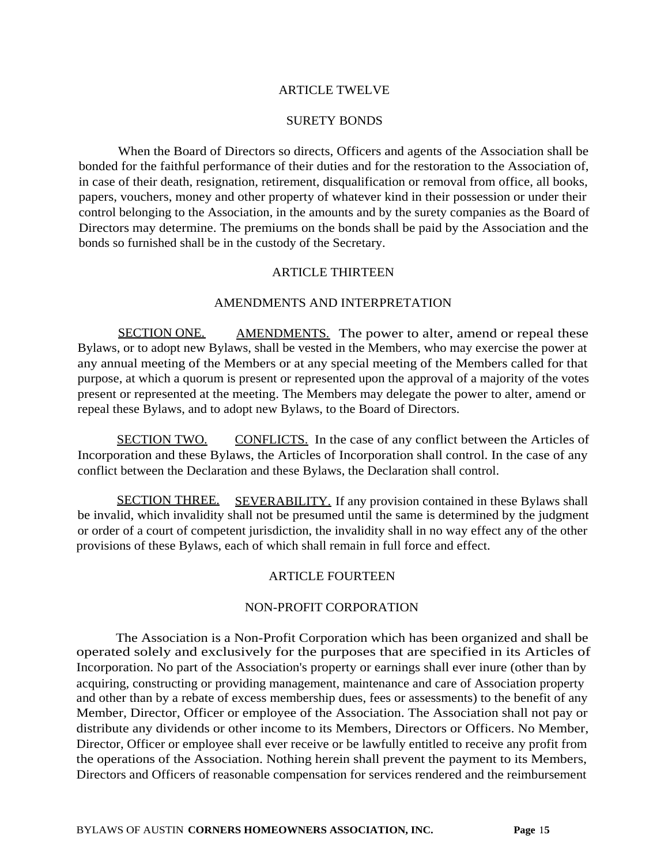### ARTICLE TWELVE

#### SURETY BONDS

When the Board of Directors so directs, Officers and agents of the Association shall be bonded for the faithful performance of their duties and for the restoration to the Association of, in case of their death, resignation, retirement, disqualification or removal from office, all books, papers, vouchers, money and other property of whatever kind in their possession or under their control belonging to the Association, in the amounts and by the surety companies as the Board of Directors may determine. The premiums on the bonds shall be paid by the Association and the bonds so furnished shall be in the custody of the Secretary.

### ARTICLE THIRTEEN

### AMENDMENTS AND INTERPRETATION

SECTION ONE. AMENDMENTS. The power to alter, amend or repeal these Bylaws, or to adopt new Bylaws, shall be vested in the Members, who may exercise the power at any annual meeting of the Members or at any special meeting of the Members called for that purpose, at which a quorum is present or represented upon the approval of a majority of the votes present or represented at the meeting. The Members may delegate the power to alter, amend or repeal these Bylaws, and to adopt new Bylaws, to the Board of Directors.

SECTION TWO. CONFLICTS. In the case of any conflict between the Articles of Incorporation and these Bylaws, the Articles of Incorporation shall control. In the case of any conflict between the Declaration and these Bylaws, the Declaration shall control.

SECTION THREE. SEVERABILITY. If any provision contained in these Bylaws shall be invalid, which invalidity shall not be presumed until the same is determined by the judgment or order of a court of competent jurisdiction, the invalidity shall in no way effect any of the other provisions of these Bylaws, each of which shall remain in full force and effect.

### ARTICLE FOURTEEN

#### NON-PROFIT CORPORATION

The Association is a Non-Profit Corporation which has been organized and shall be operated solely and exclusively for the purposes that are specified in its Articles of Incorporation. No part of the Association's property or earnings shall ever inure (other than by acquiring, constructing or providing management, maintenance and care of Association property and other than by a rebate of excess membership dues, fees or assessments) to the benefit of any Member, Director, Officer or employee of the Association. The Association shall not pay or distribute any dividends or other income to its Members, Directors or Officers. No Member, Director, Officer or employee shall ever receive or be lawfully entitled to receive any profit from the operations of the Association. Nothing herein shall prevent the payment to its Members, Directors and Officers of reasonable compensation for services rendered and the reimbursement